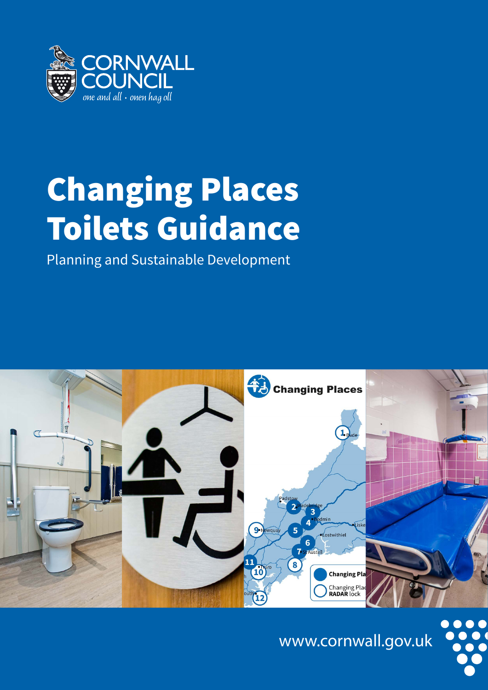

# Changing Places Toilets Guidance

Planning and Sustainable Development



www.cornwall.gov.uk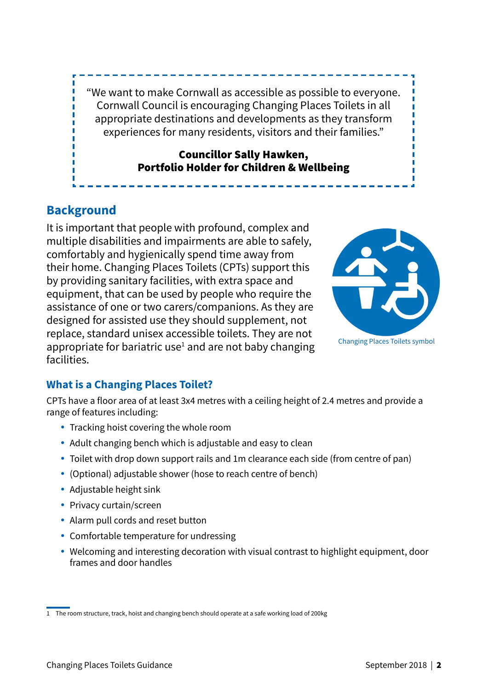"We want to make Cornwall as accessible as possible to everyone. Cornwall Council is encouraging Changing Places Toilets in all appropriate destinations and developments as they transform experiences for many residents, visitors and their families."

#### Councillor Sally Hawken, Portfolio Holder for Children & Wellbeing

# **Background**

It is important that people with profound, complex and multiple disabilities and impairments are able to safely, comfortably and hygienically spend time away from their home. Changing Places Toilets (CPTs) support this by providing sanitary facilities, with extra space and equipment, that can be used by people who require the assistance of one or two carers/companions. As they are designed for assisted use they should supplement, not replace, standard unisex accessible toilets. They are not appropriate for bariatric use<sup>1</sup> and are not baby changing facilities.



## **What is a Changing Places Toilet?**

CPTs have a floor area of at least 3x4 metres with a ceiling height of 2.4 metres and provide a range of features including:

- Tracking hoist covering the whole room
- Adult changing bench which is adjustable and easy to clean
- Toilet with drop down support rails and 1m clearance each side (from centre of pan)
- (Optional) adjustable shower (hose to reach centre of bench)
- $\bullet$  Adjustable height sink
- Privacy curtain/screen
- Alarm pull cords and reset button
- Comfortable temperature for undressing
- Welcoming and interesting decoration with visual contrast to highlight equipment, door frames and door handles

<sup>1</sup> The room structure, track, hoist and changing bench should operate at a safe working load of 200kg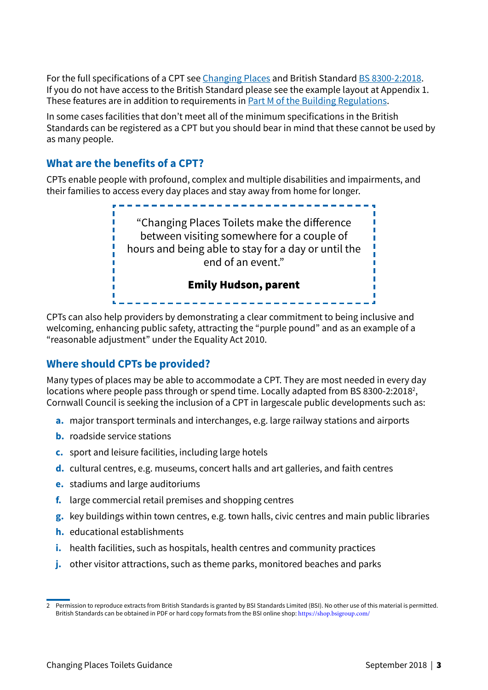For the full specifications of a CPT see [Changing Places](http://www.changing-places.org/the_campaign/what_are_changing_places_toilets_.aspx) and British Standard [BS 8300-2:2018](https://shop.bsigroup.com/ProductDetail?pid=000000000030335835). If you do not have access to the British Standard please see the example layout at Appendix 1. These features are in addition to requirements in [Part M of the Building Regulations](https://www.gov.uk/government/publications/access-to-and-use-of-buildings-approved-document-m).

In some cases facilities that don't meet all of the minimum specifications in the British Standards can be registered as a CPT but you should bear in mind that these cannot be used by as many people.

#### **What are the benefits of a CPT?**

CPTs enable people with profound, complex and multiple disabilities and impairments, and their families to access every day places and stay away from home for longer.



CPTs can also help providers by demonstrating a clear commitment to being inclusive and welcoming, enhancing public safety, attracting the "purple pound" and as an example of a "reasonable adjustment" under the Equality Act 2010.

#### **Where should CPTs be provided?**

Many types of places may be able to accommodate a CPT. They are most needed in every day locations where people pass through or spend time. Locally adapted from BS 8300-2:2018<sup>2</sup>, Cornwall Council is seeking the inclusion of a CPT in largescale public developments such as:

- **a.** major transport terminals and interchanges, e.g. large railway stations and airports
- **b.** roadside service stations
- **c.** sport and leisure facilities, including large hotels
- **d.** cultural centres, e.g. museums, concert halls and art galleries, and faith centres
- **e.** stadiums and large auditoriums
- **f.** large commercial retail premises and shopping centres
- **g.** key buildings within town centres, e.g. town halls, civic centres and main public libraries
- **h.** educational establishments
- **i.** health facilities, such as hospitals, health centres and community practices
- **j.** other visitor attractions, such as theme parks, monitored beaches and parks

<sup>.</sup>Permission to reproduce extracts from British Standards is granted by BSI Standards Limited (BSI). No other use of this material is permitted.<br>British Standards can be obtained in PDF or hard copy formats from the BSI on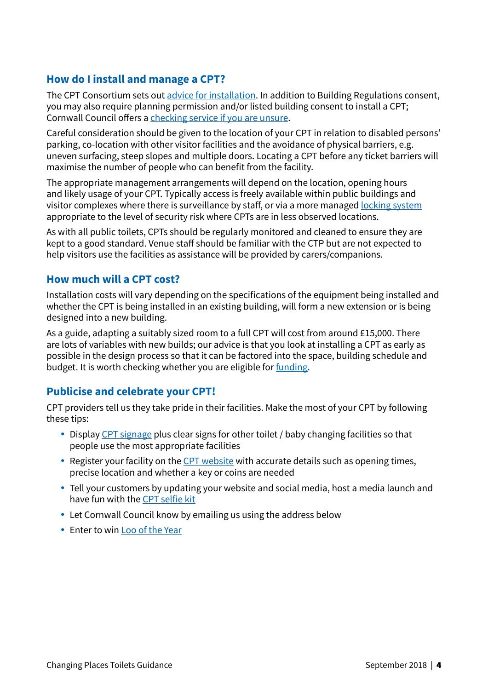### **How do I install and manage a CPT?**

The CPT Consortium sets out [advice for installation](http://www.changing-places.org/install_a_toilet.aspx). In addition to Building Regulations consent, you may also require planning permission and/or listed building consent to install a CPT; Cornwall Council offers a [checking service if you are unsure.](https://www.cornwall.gov.uk/environment-and-planning/planning/planning-advice-and-guidance/do-i-need-planning-consent-or-building-regulations/)

Careful consideration should be given to the location of your CPT in relation to disabled persons' parking, co-location with other visitor facilities and the avoidance of physical barriers, e.g. uneven surfacing, steep slopes and multiple doors. Locating a CPT before any ticket barriers will maximise the number of people who can benefit from the facility.

The appropriate management arrangements will depend on the location, opening hours and likely usage of your CPT. Typically access is freely available within public buildings and visitor complexes where there is surveillance by staff, or via a more managed [locking system](http://www.changing-places.org/install_a_toilet/security_and_access.aspx)  appropriate to the level of security risk where CPTs are in less observed locations.

As with all public toilets, CPTs should be regularly monitored and cleaned to ensure they are kept to a good standard. Venue staff should be familiar with the CTP but are not expected to help visitors use the facilities as assistance will be provided by carers/companions.

#### **How much will a CPT cost?**

Installation costs will vary depending on the specifications of the equipment being installed and whether the CPT is being installed in an existing building, will form a new extension or is being designed into a new building.

As a guide, adapting a suitably sized room to a full CPT will cost from around £15,000. There are lots of variables with new builds; our advice is that you look at installing a CPT as early as possible in the design process so that it can be factored into the space, building schedule and budget. It is worth checking whether you are eligible for *[funding](http://www.changing-places.org/install_a_toilet/faqs/funding.aspx)*.

#### **Publicise and celebrate your CPT!**

CPT providers tell us they take pride in their facilities. Make the most of your CPT by following these tips:

- Display [CPT signage](http://www.changing-places.org/install_a_toilet/signage.aspx) plus clear signs for other toilet / baby changing facilities so that people use the most appropriate facilities
- $\bullet$  Register your facility on the [CPT website](http://www.changing-places.org/install_a_toilet/registration_form.aspx) with accurate details such as opening times, precise location and whether a key or coins are needed
- Tell your customers by updating your website and social media, host a media launch and have fun with the [CPT selfie kit](http://www.changing-places.org/news/the_selfie_kit.aspx)
- Let Cornwall Council know by emailing us using the address below
- Enter to win [Loo of the Year](http://www.loo.co.uk/)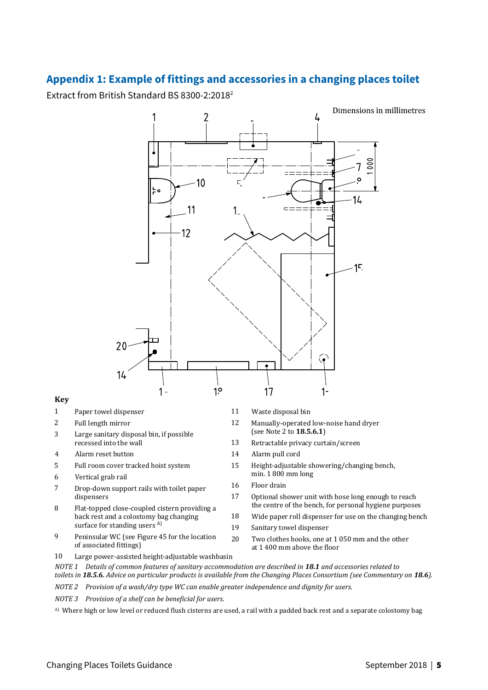### **Appendix 1: Example of fittings and accessories in a changing places toilet**

Extract from British Standard BS 8300-2:2018<sup>2</sup>



#### **Key**

- 1 Paper towel dispenser 11 Waste disposal bin
- 2 Full length mirror
- 3 Large sanitary disposal bin, if possible recessed into the wall
- 
- 5 Full room cover tracked hoist system
- 6 Vertical grab rail
- 7 Drop-down support rails with toilet paper dispensers
- 8 Flat-topped close-coupled cistern providing a back rest and a colostomy bag changing surface for standing users <sup>A)</sup>
- 9 Peninsular WC (see Figure 45 for the location of associated fittings)
- 
- 12 Manually-operated low-noise hand dryer (see Note 2 to **18.5.6.1**)
- 13 Retractable privacy curtain/screen
- 4 Alarm reset button 14 Alarm pull cord
	- 15 Height-adjustable showering/changing bench, min. 1 800 mm long
	- 16 Floor drain
	- 17 Optional shower unit with hose long enough to reach the centre of the bench, for personal hygiene purposes
	- 18 Wide paper roll dispenser for use on the changing bench
	- 19 Sanitary towel dispenser
		- Two clothes hooks, one at 1 050 mm and the other at 1 400 mm above the floor
- 10 Large power-assisted height-adjustable washbasin
- *NOTE 1 Details of common features of sanitary accommodation are described in 18.1 and accessories related to toilets in 18.5.6. Advice on particular products is available from the Changing Places Consortium (see Commentary on 18.6).*

20

*NOTE 2 Provision of a wash/dry type WC can enable greater independence and dignity for users.* 

*NOTE 3 Provision of a shelf can be beneficial for users.* 

A) Where high or low level or reduced flush cisterns are used, a rail with a padded back rest and a separate colostomy bag